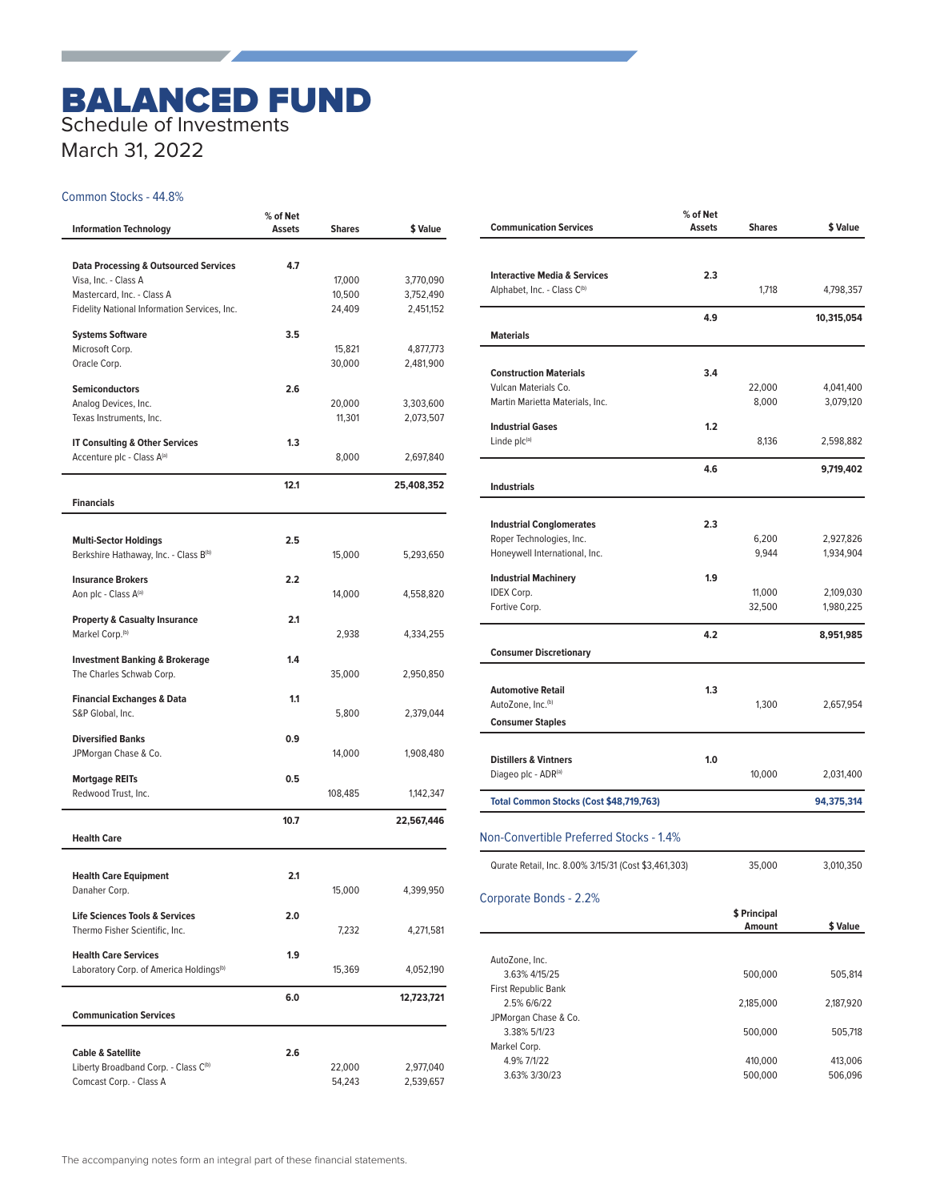# BALANCED FUND Schedule of Investments

March 31, 2022

the contract of the contract of

#### Common Stocks - 44.8%

| <b>Information Technology</b>                                               | % of Net<br>Assets | <b>Shares</b>    | \$ Value               |
|-----------------------------------------------------------------------------|--------------------|------------------|------------------------|
|                                                                             |                    |                  |                        |
| <b>Data Processing &amp; Outsourced Services</b><br>Visa, Inc. - Class A    | 4.7                | 17,000           | 3,770,090              |
| Mastercard, Inc. - Class A                                                  |                    | 10,500           | 3,752,490              |
| Fidelity National Information Services, Inc.                                |                    | 24,409           | 2,451,152              |
|                                                                             |                    |                  |                        |
| <b>Systems Software</b>                                                     | 3.5                |                  |                        |
| Microsoft Corp.                                                             |                    | 15,821           | 4,877,773              |
| Oracle Corp.                                                                |                    | 30,000           | 2,481,900              |
| <b>Semiconductors</b>                                                       | 2.6                |                  |                        |
| Analog Devices, Inc.                                                        |                    | 20,000           | 3,303,600              |
| Texas Instruments, Inc.                                                     |                    | 11,301           | 2,073,507              |
|                                                                             | 1.3                |                  |                        |
| <b>IT Consulting &amp; Other Services</b><br>Accenture plc - Class A(a)     |                    | 8,000            | 2,697,840              |
|                                                                             |                    |                  |                        |
|                                                                             | 12.1               |                  | 25,408,352             |
| <b>Financials</b>                                                           |                    |                  |                        |
|                                                                             |                    |                  |                        |
| <b>Multi-Sector Holdings</b>                                                | 2.5                |                  |                        |
| Berkshire Hathaway, Inc. - Class B <sup>(b)</sup>                           |                    | 15,000           | 5,293,650              |
| <b>Insurance Brokers</b>                                                    | 2.2                |                  |                        |
| Aon plc - Class A(a)                                                        |                    | 14,000           | 4,558,820              |
|                                                                             |                    |                  |                        |
| <b>Property &amp; Casualty Insurance</b>                                    | 2.1                |                  |                        |
| Markel Corp. <sup>(b)</sup>                                                 |                    | 2,938            | 4,334,255              |
| <b>Investment Banking &amp; Brokerage</b>                                   | 1.4                |                  |                        |
| The Charles Schwab Corp.                                                    |                    | 35,000           | 2,950,850              |
|                                                                             |                    |                  |                        |
| <b>Financial Exchanges &amp; Data</b>                                       | 1.1                |                  |                        |
| S&P Global, Inc.                                                            |                    | 5,800            | 2,379,044              |
| <b>Diversified Banks</b>                                                    | 0.9                |                  |                        |
| JPMorgan Chase & Co.                                                        |                    | 14,000           | 1,908,480              |
|                                                                             |                    |                  |                        |
| <b>Mortgage REITs</b>                                                       | 0.5                |                  |                        |
| Redwood Trust, Inc.                                                         |                    | 108,485          | 1,142,347              |
|                                                                             | 10.7               |                  | 22,567,446             |
| <b>Health Care</b>                                                          |                    |                  |                        |
|                                                                             |                    |                  |                        |
| <b>Health Care Equipment</b>                                                | 2.1                |                  |                        |
| Danaher Corp.                                                               |                    | 15,000           | 4,399,950              |
| <b>Life Sciences Tools &amp; Services</b>                                   | 2.0                |                  |                        |
| Thermo Fisher Scientific, Inc.                                              |                    | 7,232            | 4,271,581              |
|                                                                             |                    |                  |                        |
| <b>Health Care Services</b>                                                 | 1.9                |                  |                        |
| Laboratory Corp. of America Holdings <sup>(b)</sup>                         |                    | 15,369           | 4,052,190              |
|                                                                             | 6.0                |                  | 12,723,721             |
| <b>Communication Services</b>                                               |                    |                  |                        |
|                                                                             |                    |                  |                        |
|                                                                             |                    |                  |                        |
| <b>Cable &amp; Satellite</b>                                                | 2.6                |                  |                        |
| Liberty Broadband Corp. - Class C <sup>(b)</sup><br>Comcast Corp. - Class A |                    | 22,000<br>54,243 | 2,977,040<br>2,539,657 |
|                                                                             |                    |                  |                        |

| <b>Communication Services</b>                             | $%$ of Net<br><b>Assets</b> | <b>Shares</b> | \$ Value   |
|-----------------------------------------------------------|-----------------------------|---------------|------------|
|                                                           |                             |               |            |
| <b>Interactive Media &amp; Services</b>                   | 2.3                         |               |            |
| Alphabet, Inc. - Class C(b)                               |                             | 1.718         | 4,798,357  |
|                                                           | 4.9                         |               | 10,315,054 |
| <b>Materials</b>                                          |                             |               |            |
| <b>Construction Materials</b>                             | 3.4                         |               |            |
| Vulcan Materials Co.                                      |                             | 22,000        | 4,041,400  |
| Martin Marietta Materials, Inc.                           |                             | 8,000         | 3,079,120  |
| <b>Industrial Gases</b>                                   | 1.2                         |               |            |
| Linde plc(a)                                              |                             | 8,136         | 2,598,882  |
|                                                           | 4.6                         |               | 9,719,402  |
| <b>Industrials</b>                                        |                             |               |            |
| <b>Industrial Conglomerates</b>                           | 2.3                         |               |            |
| Roper Technologies, Inc.                                  |                             | 6,200         | 2,927,826  |
| Honeywell International, Inc.                             |                             | 9,944         | 1,934,904  |
| <b>Industrial Machinery</b>                               | 1.9                         |               |            |
| <b>IDEX Corp.</b>                                         |                             | 11,000        | 2,109,030  |
| Fortive Corp.                                             |                             | 32,500        | 1,980,225  |
|                                                           | 4.2                         |               | 8,951,985  |
| <b>Consumer Discretionary</b>                             |                             |               |            |
|                                                           |                             |               |            |
| <b>Automotive Retail</b><br>AutoZone, Inc. <sup>(b)</sup> | 1.3                         | 1,300         | 2,657,954  |
| <b>Consumer Staples</b>                                   |                             |               |            |
|                                                           |                             |               |            |
| <b>Distillers &amp; Vintners</b>                          | 1.0                         |               |            |
| Diageo plc - ADR(a)                                       |                             | 10,000        | 2,031,400  |
| Total Common Stocks (Cost \$48,719,763)                   |                             |               | 94,375,314 |
| Non-Convertible Preferred Stocks - 1.4%                   |                             |               |            |
| Qurate Retail, Inc. 8.00% 3/15/31 (Cost \$3,461,303)      |                             | 35,000        | 3,010,350  |
|                                                           |                             |               |            |
| Corporate Bonds - 2.2%                                    |                             | \$ Principal  |            |
|                                                           |                             | Amount        | \$ Value   |
|                                                           |                             |               |            |
| AutoZone, Inc.<br>3.63% 4/15/25                           |                             | 500,000       | 505,814    |
| First Republic Bank                                       |                             |               |            |
| 2.5% 6/6/22                                               |                             | 2,185,000     | 2,187,920  |
| JPMorgan Chase & Co.<br>3.38% 5/1/23                      |                             | 500,000       | 505,718    |
| Markel Corp.                                              |                             |               |            |
| 4.9% 7/1/22                                               |                             | 410,000       | 413,006    |
| 3.63% 3/30/23                                             |                             | 500,000       | 506,096    |
|                                                           |                             |               |            |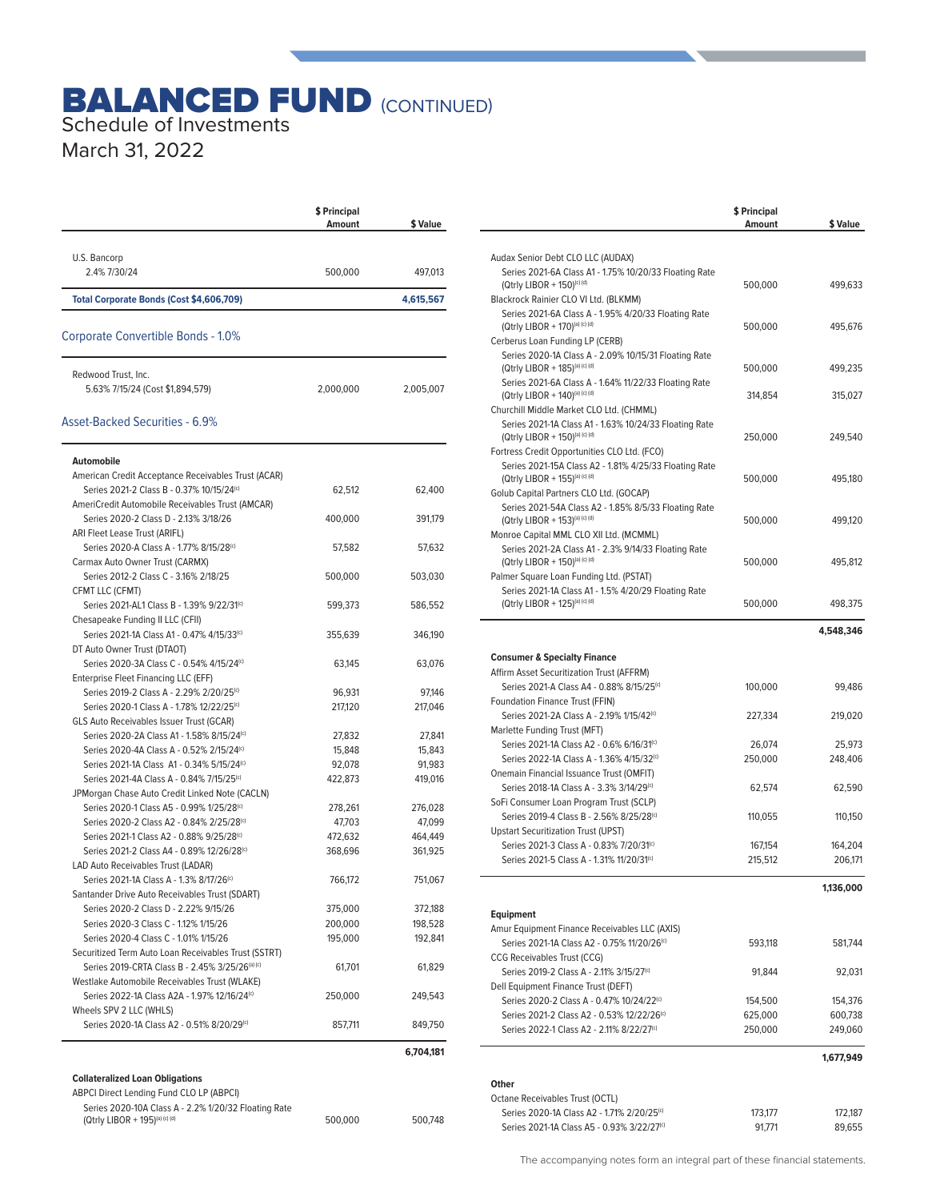## **BALANCED FUND (CONTINUED)** Schedule of Investments

March 31, 2022

|                                                                                                          | \$ Principal<br>Amount | \$ Value  |
|----------------------------------------------------------------------------------------------------------|------------------------|-----------|
|                                                                                                          |                        |           |
| U.S. Bancorp                                                                                             |                        |           |
| 2.4% 7/30/24                                                                                             | 500,000                | 497,013   |
| Total Corporate Bonds (Cost \$4,606,709)                                                                 |                        | 4,615,567 |
| Corporate Convertible Bonds - 1.0%                                                                       |                        |           |
| Redwood Trust, Inc.                                                                                      |                        |           |
| 5.63% 7/15/24 (Cost \$1,894,579)                                                                         | 2,000,000              | 2,005,007 |
| Asset-Backed Securities - 6.9%                                                                           |                        |           |
| Automobile                                                                                               |                        |           |
| American Credit Acceptance Receivables Trust (ACAR)<br>Series 2021-2 Class B - 0.37% 10/15/24(c)         | 62,512                 | 62,400    |
| AmeriCredit Automobile Receivables Trust (AMCAR)                                                         |                        |           |
| Series 2020-2 Class D - 2.13% 3/18/26<br>ARI Fleet Lease Trust (ARIFL)                                   | 400,000                | 391,179   |
| Series 2020-A Class A - 1.77% 8/15/28(c)                                                                 | 57,582                 | 57,632    |
| Carmax Auto Owner Trust (CARMX)<br>Series 2012-2 Class C - 3.16% 2/18/25                                 | 500,000                | 503,030   |
| CFMT LLC (CFMT)                                                                                          |                        |           |
| Series 2021-AL1 Class B - 1.39% 9/22/31 <sup>(c)</sup><br>Chesapeake Funding II LLC (CFII)               | 599,373                | 586,552   |
| Series 2021-1A Class A1 - 0.47% 4/15/33(c)                                                               | 355,639                | 346,190   |
| DT Auto Owner Trust (DTAOT)<br>Series 2020-3A Class C - 0.54% 4/15/24(c)                                 | 63,145                 | 63,076    |
| Enterprise Fleet Financing LLC (EFF)                                                                     |                        |           |
| Series 2019-2 Class A - 2.29% 2/20/25 <sup>(c)</sup>                                                     | 96,931                 | 97,146    |
| Series 2020-1 Class A - 1.78% 12/22/25 <sup>(c)</sup><br><b>GLS Auto Receivables Issuer Trust (GCAR)</b> | 217,120                | 217,046   |
| Series 2020-2A Class A1 - 1.58% 8/15/24 <sup>(c)</sup>                                                   | 27,832                 | 27,841    |
| Series 2020-4A Class A - 0.52% 2/15/24 <sup>(c)</sup>                                                    | 15,848                 | 15,843    |
| Series 2021-1A Class A1 - 0.34% 5/15/24(c)                                                               | 92,078                 | 91,983    |
| Series 2021-4A Class A - 0.84% 7/15/25 <sup>(c)</sup>                                                    | 422,873                | 419,016   |
| JPMorgan Chase Auto Credit Linked Note (CACLN)                                                           |                        |           |
| Series 2020-1 Class A5 - 0.99% 1/25/28 <sup>(c)</sup>                                                    | 278,261                | 276,028   |
| Series 2020-2 Class A2 - 0.84% 2/25/28 <sup>(c)</sup>                                                    | 47,703                 | 47,099    |
| Series 2021-1 Class A2 - 0.88% 9/25/28 <sup>(c)</sup>                                                    | 472,632                | 464,449   |
| Series 2021-2 Class A4 - 0.89% 12/26/28(c)                                                               | 368,696                | 361,925   |
| LAD Auto Receivables Trust (LADAR)                                                                       |                        |           |
| Series 2021-1A Class A - 1.3% 8/17/26©                                                                   | 766,172                | 751,067   |
| Santander Drive Auto Receivables Trust (SDART)                                                           |                        |           |
| Series 2020-2 Class D - 2.22% 9/15/26                                                                    | 375,000                | 372,188   |
| Series 2020-3 Class C - 1.12% 1/15/26                                                                    | 200,000                | 198,528   |
| Series 2020-4 Class C - 1.01% 1/15/26                                                                    | 195,000                | 192,841   |
| Securitized Term Auto Loan Receivables Trust (SSTRT)                                                     |                        |           |
| Series 2019-CRTA Class B - 2.45% 3/25/26(a) (c)                                                          | 61,701                 | 61,829    |
| Westlake Automobile Receivables Trust (WLAKE)                                                            |                        |           |
| Series 2022-1A Class A2A - 1.97% 12/16/24(c)                                                             | 250,000                | 249,543   |
| Wheels SPV 2 LLC (WHLS)                                                                                  |                        |           |
| Series 2020-1A Class A2 - 0.51% 8/20/29(c)                                                               | 857,711                | 849,750   |
|                                                                                                          |                        | 6,704,181 |
| <b>Collateralized Loan Obligations</b>                                                                   |                        |           |
| ABPCI Direct Lending Fund CLO LP (ABPCI)                                                                 |                        |           |
| Series 2020-10A Class A - 2.2% 1/20/32 Floating Rate<br>(Qtrly LIBOR + 195)(a) (c) (d)                   | 500,000                | 500,748   |

|                                                                                                     | \$ Principal<br>Amount | \$ Value           |
|-----------------------------------------------------------------------------------------------------|------------------------|--------------------|
|                                                                                                     |                        |                    |
| Audax Senior Debt CLO LLC (AUDAX)<br>Series 2021-6A Class A1 - 1.75% 10/20/33 Floating Rate         |                        |                    |
| (Qtrly LIBOR + 150)(c) (d)                                                                          | 500,000                | 499.633            |
| Blackrock Rainier CLO VI Ltd. (BLKMM)                                                               |                        |                    |
| Series 2021-6A Class A - 1.95% 4/20/33 Floating Rate                                                |                        |                    |
| (Qtrly LIBOR + 170) <sup>(a) (c) (d)</sup>                                                          | 500,000                | 495,676            |
| Cerberus Loan Funding LP (CERB)<br>Series 2020-1A Class A - 2.09% 10/15/31 Floating Rate            |                        |                    |
| (Qtrly LIBOR + 185)(a) (c) (d)                                                                      | 500,000                | 499,235            |
| Series 2021-6A Class A - 1.64% 11/22/33 Floating Rate                                               |                        |                    |
| (Qtrly LIBOR + 140)(a) (c) (d)                                                                      | 314,854                | 315,027            |
| Churchill Middle Market CLO Ltd. (CHMML)                                                            |                        |                    |
| Series 2021-1A Class A1 - 1.63% 10/24/33 Floating Rate<br>(Qtrly LIBOR + 150)(a) (c) (d)            | 250,000                | 249,540            |
| Fortress Credit Opportunities CLO Ltd. (FCO)                                                        |                        |                    |
| Series 2021-15A Class A2 - 1.81% 4/25/33 Floating Rate                                              |                        |                    |
| (Qtrly LIBOR + 155)(a) (c) (d)                                                                      | 500,000                | 495,180            |
| Golub Capital Partners CLO Ltd. (GOCAP)                                                             |                        |                    |
| Series 2021-54A Class A2 - 1.85% 8/5/33 Floating Rate                                               |                        |                    |
| (Qtrly LIBOR + 153)(a) (c) (d)<br>Monroe Capital MML CLO XII Ltd. (MCMML)                           | 500,000                | 499,120            |
| Series 2021-2A Class A1 - 2.3% 9/14/33 Floating Rate                                                |                        |                    |
| (Qtrly LIBOR + 150)(a) (c) (d)                                                                      | 500,000                | 495,812            |
| Palmer Square Loan Funding Ltd. (PSTAT)                                                             |                        |                    |
| Series 2021-1A Class A1 - 1.5% 4/20/29 Floating Rate                                                |                        |                    |
| (Qtrly LIBOR + 125)(a) (c) (d)                                                                      | 500,000                | 498,375            |
|                                                                                                     |                        | 4,548,346          |
|                                                                                                     |                        |                    |
| <b>Consumer &amp; Specialty Finance</b>                                                             |                        |                    |
| Affirm Asset Securitization Trust (AFFRM)                                                           |                        |                    |
| Series 2021-A Class A4 - 0.88% 8/15/25 <sup>(c)</sup><br>Foundation Finance Trust (FFIN)            | 100,000                | 99,486             |
| Series 2021-2A Class A - 2.19% 1/15/42 <sup>(c)</sup>                                               | 227,334                | 219,020            |
| Marlette Funding Trust (MFT)                                                                        |                        |                    |
| Series 2021-1A Class A2 - 0.6% 6/16/31 <sup>(c)</sup>                                               | 26,074                 | 25,973             |
| Series 2022-1A Class A - 1.36% 4/15/32 <sup>(c)</sup>                                               | 250,000                | 248,406            |
| Onemain Financial Issuance Trust (OMFIT)                                                            |                        |                    |
| Series 2018-1A Class A - 3.3% 3/14/29 <sup>(c)</sup>                                                | 62,574                 | 62,590             |
| SoFi Consumer Loan Program Trust (SCLP)<br>Series 2019-4 Class B - 2.56% 8/25/28 <sup>(c)</sup>     |                        |                    |
| <b>Upstart Securitization Trust (UPST)</b>                                                          | 110,055                | 110,150            |
| Series 2021-3 Class A - 0.83% 7/20/31 <sup>(c)</sup>                                                | 167,154                | 164,204            |
| Series 2021-5 Class A - 1.31% 11/20/31 <sup>(c)</sup>                                               | 215,512                | 206,171            |
|                                                                                                     |                        |                    |
|                                                                                                     |                        | 1,136,000          |
| <b>Equipment</b>                                                                                    |                        |                    |
| Amur Equipment Finance Receivables LLC (AXIS)                                                       |                        |                    |
| Series 2021-1A Class A2 - 0.75% 11/20/26(c)                                                         | 593,118                | 581,744            |
| CCG Receivables Trust (CCG)                                                                         |                        |                    |
| Series 2019-2 Class A - 2.11% 3/15/27 <sup>(c)</sup>                                                | 91,844                 | 92,031             |
| Dell Equipment Finance Trust (DEFT)                                                                 |                        |                    |
| Series 2020-2 Class A - 0.47% 10/24/22(c)<br>Series 2021-2 Class A2 - 0.53% 12/22/26 <sup>(c)</sup> | 154,500<br>625,000     | 154,376<br>600,738 |
| Series 2022-1 Class A2 - 2.11% 8/22/27 <sup>(c)</sup>                                               | 250,000                | 249,060            |
|                                                                                                     |                        |                    |
|                                                                                                     |                        | 1,677,949          |
| Other                                                                                               |                        |                    |
| Octane Receivables Trust (OCTL)                                                                     |                        |                    |
| Series 2020-1A Class A2 - 1.71% 2/20/25 <sup>(c)</sup>                                              | 173,177                | 172,187            |
| Series 2021-1A Class A5 - 0.93% 3/22/27 <sup>(c)</sup>                                              | 91,771                 | 89,655             |

The accompanying notes form an integral part of these financial statements.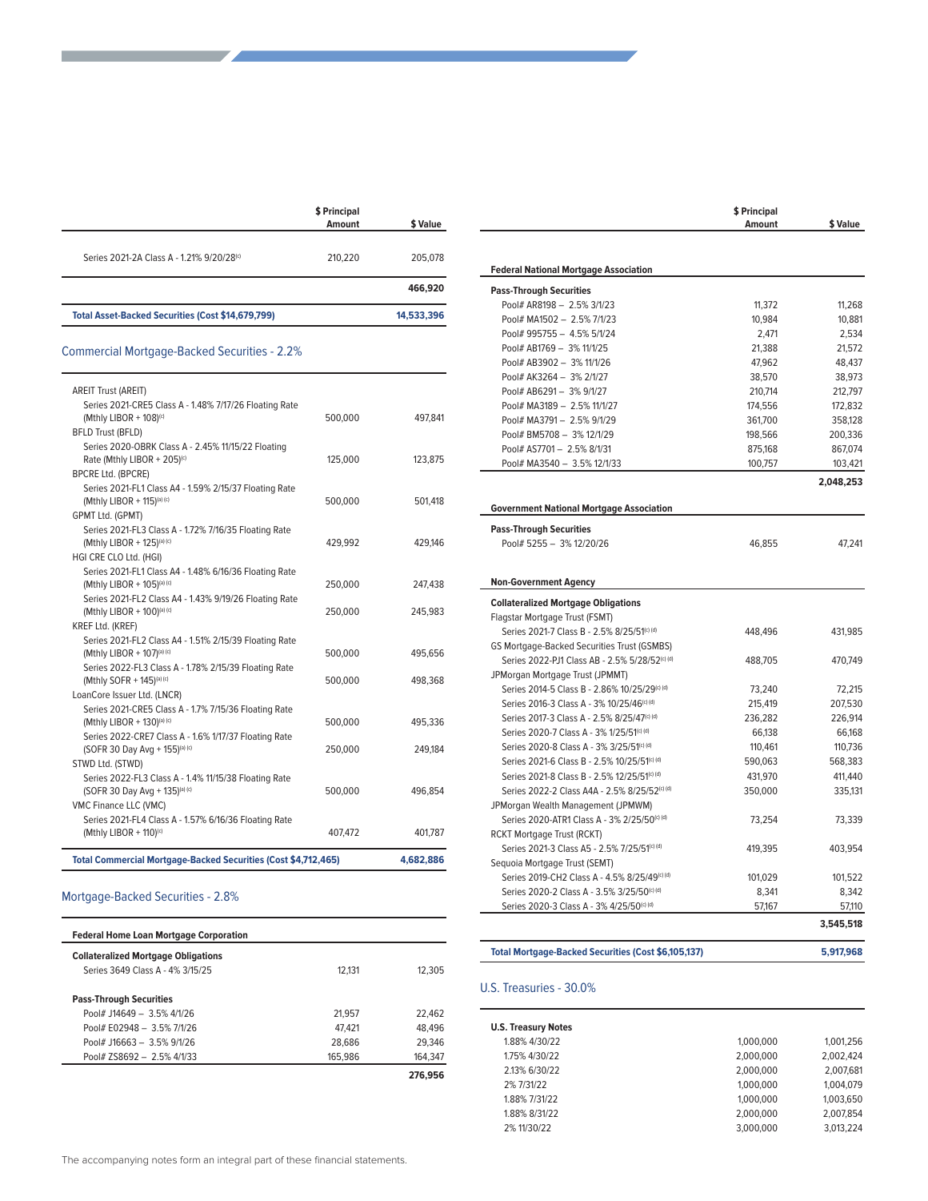|                                                          | \$ Principal<br>Amount | \$ Value   |
|----------------------------------------------------------|------------------------|------------|
| Series 2021-2A Class A - 1.21% 9/20/28 <sup>(c)</sup>    | 210,220                | 205.078    |
|                                                          |                        | 466,920    |
| <b>Total Asset-Backed Securities (Cost \$14,679,799)</b> |                        | 14,533,396 |

### Commercial Mortgage-Backed Securities - 2.2%

| <b>Total Commercial Mortgage-Backed Securities (Cost \$4,712,465)</b>                                                                          |         | 4,682,886 |
|------------------------------------------------------------------------------------------------------------------------------------------------|---------|-----------|
| Series 2021-FL4 Class A - 1.57% 6/16/36 Floating Rate<br>(Mthly LIBOR + 110) <sup>(c)</sup>                                                    | 407,472 | 401,787   |
| VMC Finance LLC (VMC)                                                                                                                          |         |           |
| Series 2022-FL3 Class A - 1.4% 11/15/38 Floating Rate<br>(SOFR 30 Day Avg + 135)(a) (c)                                                        | 500,000 | 496,854   |
| STWD Ltd. (STWD)                                                                                                                               |         |           |
| Series 2022-CRE7 Class A - 1.6% 1/17/37 Floating Rate<br>(SOFR 30 Day Avg + 155)(a) (c)                                                        | 250,000 | 249.184   |
| Series 2021-CRE5 Class A - 1.7% 7/15/36 Floating Rate<br>(Mthly LIBOR + 130)(a) (c)                                                            | 500,000 | 495,336   |
| LoanCore Issuer Ltd. (LNCR)                                                                                                                    |         |           |
| Series 2022-FL3 Class A - 1.78% 2/15/39 Floating Rate<br>(Mthly SOFR + 145)(a) (c)                                                             | 500,000 | 498,368   |
| KREF Ltd. (KREF)<br>Series 2021-FL2 Class A4 - 1.51% 2/15/39 Floating Rate<br>(Mthly LIBOR + 107)(a) (c)                                       | 500,000 | 495,656   |
| (Mthly LIBOR + 100)(a) (c)                                                                                                                     | 250,000 | 245,983   |
| Series 2021-FL1 Class A4 - 1.48% 6/16/36 Floating Rate<br>(Mthly LIBOR + 105)(a) (c)<br>Series 2021-FL2 Class A4 - 1.43% 9/19/26 Floating Rate | 250,000 | 247.438   |
| HGI CRE CLO Ltd. (HGI)                                                                                                                         |         |           |
| Series 2021-FL3 Class A - 1.72% 7/16/35 Floating Rate<br>(Mthly LIBOR + 125)(a) (c)                                                            | 429.992 | 429.146   |
| Series 2021-FL1 Class A4 - 1.59% 2/15/37 Floating Rate<br>(Mthly LIBOR + 115)(a) (c)<br>GPMT Ltd. (GPMT)                                       | 500,000 | 501,418   |
| Series 2020-OBRK Class A - 2.45% 11/15/22 Floating<br>Rate (Mthly LIBOR + 205) <sup>(c)</sup><br><b>BPCRE Ltd. (BPCRE)</b>                     | 125,000 | 123,875   |
| <b>AREIT Trust (AREIT)</b><br>Series 2021-CRE5 Class A - 1.48% 7/17/26 Floating Rate<br>(Mthly LIBOR + 108)(c)<br><b>BFLD Trust (BFLD)</b>     | 500,000 | 497,841   |

#### Mortgage-Backed Securities - 2.8%

| <b>Federal Home Loan Mortgage Corporation</b> |         |         |
|-----------------------------------------------|---------|---------|
| <b>Collateralized Mortgage Obligations</b>    |         |         |
| Series 3649 Class A - 4% 3/15/25              | 12.131  | 12.305  |
| <b>Pass-Through Securities</b>                |         |         |
| Pool# J14649 - 3.5% 4/1/26                    | 21.957  | 22,462  |
| Pool# E02948 - 3.5% 7/1/26                    | 47.421  | 48.496  |
| Pool# J16663 - 3.5% 9/1/26                    | 28.686  | 29.346  |
| Pool# ZS8692 - 2.5% 4/1/33                    | 165.986 | 164,347 |
|                                               |         | 276.956 |

|                                                          | \$ Principal |                              |
|----------------------------------------------------------|--------------|------------------------------|
|                                                          | Amount       | \$ Value                     |
|                                                          |              |                              |
| <b>Federal National Mortgage Association</b>             |              |                              |
| <b>Pass-Through Securities</b>                           |              |                              |
| Pool# AR8198 - 2.5% 3/1/23                               | 11,372       | 11,268                       |
| Pool# MA1502 - 2.5% 7/1/23                               | 10,984       | 10,881                       |
| Pool# 995755 - 4.5% 5/1/24                               | 2.471        | 2.534                        |
| Pool# AB1769 - 3% 11/1/25                                | 21,388       | 21,572                       |
| Pool# AB3902 - 3% 11/1/26                                | 47,962       | 48,437                       |
| Pool# AK3264 - 3% 2/1/27                                 | 38,570       | 38,973                       |
| Pool# AB6291- 3% 9/1/27                                  | 210,714      | 212,797                      |
| Pool# MA3189 - 2.5% 11/1/27                              | 174,556      | 172,832                      |
| Pool# MA3791- 2.5% 9/1/29                                | 361,700      | 358,128                      |
| Pool# BM5708 - 3% 12/1/29                                | 198,566      | 200,336                      |
| Pool# AS7701- 2.5% 8/1/31                                | 875,168      | 867,074                      |
| Pool# MA3540 - 3.5% 12/1/33                              | 100,757      | 103,421                      |
|                                                          |              | 2,048,253                    |
| <b>Government National Mortgage Association</b>          |              |                              |
| <b>Pass-Through Securities</b>                           |              |                              |
| Pool# 5255 - 3% 12/20/26                                 | 46,855       | 47,241                       |
|                                                          |              |                              |
| <b>Non-Government Agency</b>                             |              |                              |
| <b>Collateralized Mortgage Obligations</b>               |              |                              |
| Flagstar Mortgage Trust (FSMT)                           |              |                              |
| Series 2021-7 Class B - 2.5% 8/25/51(c) (d)              | 448,496      | 431,985                      |
| GS Mortgage-Backed Securities Trust (GSMBS)              |              |                              |
| Series 2022-PJ1 Class AB - 2.5% 5/28/52(c) (d)           | 488,705      | 470.749                      |
| JPMorgan Mortgage Trust (JPMMT)                          |              |                              |
| Series 2014-5 Class B - 2.86% 10/25/29(c) (d)            | 73,240       | 72,215                       |
| Series 2016-3 Class A - 3% 10/25/46(c) (d)               | 215,419      | 207,530                      |
| Series 2017-3 Class A - 2.5% 8/25/47 <sup>(c) (d)</sup>  | 236.282      | 226.914                      |
| Series 2020-7 Class A - 3% 1/25/51(c) (d)                | 66,138       | 66,168                       |
| Series 2020-8 Class A - 3% 3/25/51(c) (d)                | 110,461      | 110,736                      |
| Series 2021-6 Class B - 2.5% 10/25/51 <sup>(c) (d)</sup> | 590,063      | 568,383                      |
| Series 2021-8 Class B - 2.5% 12/25/51(c) (d)             | 431,970      | 411,440                      |
|                                                          |              |                              |
| Series 2022-2 Class A4A - 2.5% 8/25/52(c) (d)            | 350,000      | 335,131                      |
| JPMorgan Wealth Management (JPMWM)                       |              |                              |
| Series 2020-ATR1 Class A - 3% 2/25/50(c) (d)             | 73,254       | 73,339                       |
| <b>RCKT Mortgage Trust (RCKT)</b>                        |              |                              |
| Series 2021-3 Class A5 - 2.5% 7/25/51 <sup>(c) (d)</sup> | 419,395      | 403,954                      |
|                                                          |              |                              |
| Sequoia Mortgage Trust (SEMT)                            | 101,029      | 101,522                      |
| Series 2019-CH2 Class A - 4.5% 8/25/49(c) (d)            |              |                              |
| Series 2020-2 Class A - 3.5% 3/25/50 <sup>(c) (d)</sup>  | 8.341        |                              |
| Series 2020-3 Class A - 3% 4/25/50(c) (d)                | 57,167       |                              |
|                                                          |              | 8.342<br>57,110<br>3,545,518 |

#### U.S. Treasuries - 30.0%

| <b>U.S. Treasury Notes</b> |           |           |
|----------------------------|-----------|-----------|
| 1.88% 4/30/22              | 1.000.000 | 1.001.256 |
| 1.75% 4/30/22              | 2.000.000 | 2,002,424 |
| 2.13% 6/30/22              | 2.000.000 | 2.007.681 |
| 2% 7/31/22                 | 1.000.000 | 1.004.079 |
| 1.88% 7/31/22              | 1.000.000 | 1.003.650 |
| 1.88% 8/31/22              | 2.000.000 | 2,007,854 |
| 2% 11/30/22                | 3.000.000 | 3.013.224 |
|                            |           |           |